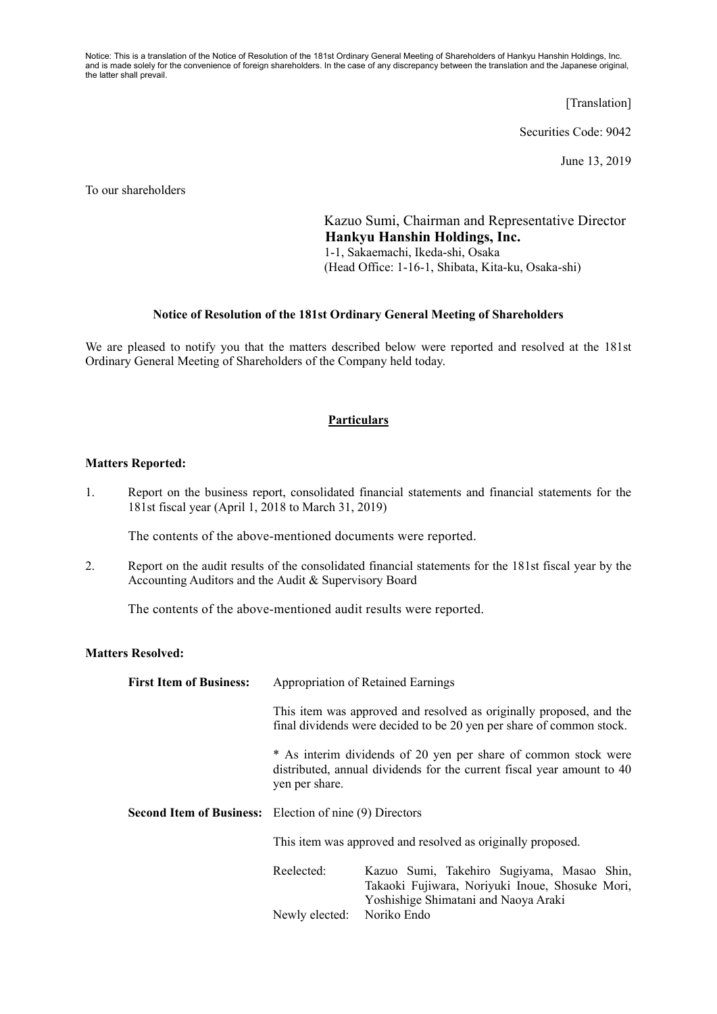Notice: This is a translation of the Notice of Resolution of the 181st Ordinary General Meeting of Shareholders of Hankyu Hanshin Holdings, Inc. and is made solely for the convenience of foreign shareholders. In the case of any discrepancy between the translation and the Japanese original, the latter shall prevail.

[Translation]

Securities Code: 9042

June 13, 2019

To our shareholders

Kazuo Sumi, Chairman and Representative Director **Hankyu Hanshin Holdings, Inc.**  1-1, Sakaemachi, Ikeda-shi, Osaka (Head Office: 1-16-1, Shibata, Kita-ku, Osaka-shi)

## **Notice of Resolution of the 181st Ordinary General Meeting of Shareholders**

We are pleased to notify you that the matters described below were reported and resolved at the 181st Ordinary General Meeting of Shareholders of the Company held today.

## **Particulars**

## **Matters Reported:**

1. Report on the business report, consolidated financial statements and financial statements for the 181st fiscal year (April 1, 2018 to March 31, 2019)

The contents of the above-mentioned documents were reported.

2. Report on the audit results of the consolidated financial statements for the 181st fiscal year by the Accounting Auditors and the Audit & Supervisory Board

The contents of the above-mentioned audit results were reported.

## **Matters Resolved:**

| <b>First Item of Business:</b> | Appropriation of Retained Earnings                                                                                                                          |                                                                                                                                       |
|--------------------------------|-------------------------------------------------------------------------------------------------------------------------------------------------------------|---------------------------------------------------------------------------------------------------------------------------------------|
|                                | This item was approved and resolved as originally proposed, and the<br>final dividends were decided to be 20 yen per share of common stock.                 |                                                                                                                                       |
|                                | * As interim dividends of 20 yen per share of common stock were<br>distributed, annual dividends for the current fiscal year amount to 40<br>yen per share. |                                                                                                                                       |
|                                | <b>Second Item of Business:</b> Election of nine (9) Directors                                                                                              |                                                                                                                                       |
|                                | This item was approved and resolved as originally proposed.                                                                                                 |                                                                                                                                       |
|                                | Reelected:                                                                                                                                                  | Kazuo Sumi, Takehiro Sugiyama, Masao Shin,<br>Takaoki Fujiwara, Noriyuki Inoue, Shosuke Mori,<br>Yoshishige Shimatani and Naoya Araki |
|                                | Newly elected:                                                                                                                                              | Noriko Endo                                                                                                                           |